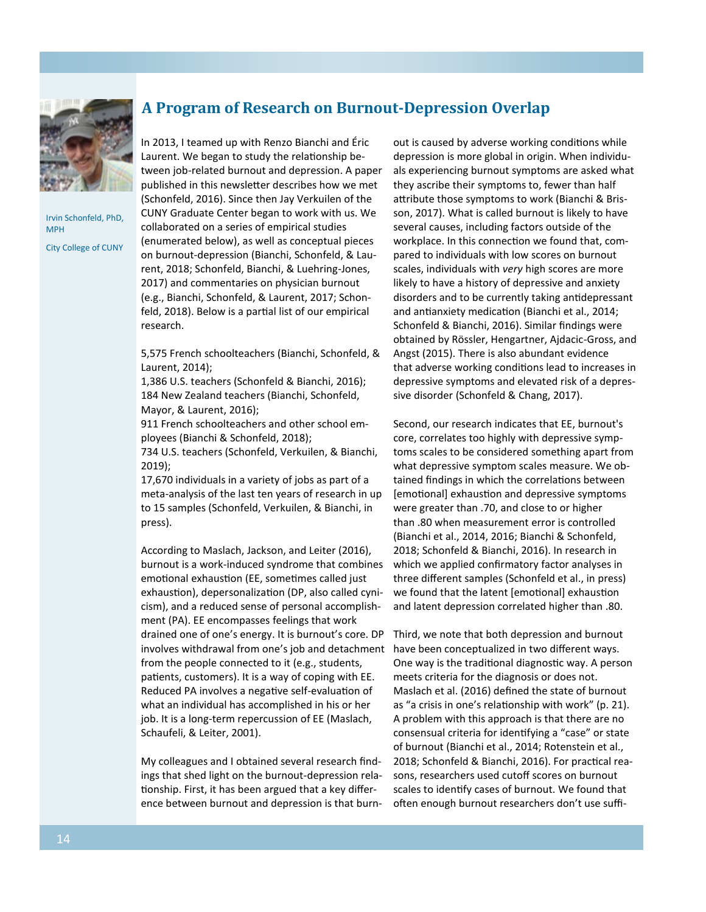

Irvin Schonfeld, PhD, MPH

City College of CUNY

## **A Program of Research on Burnout-Depression Overlap**

In 2013, I teamed up with Renzo Bianchi and Éric Laurent. We began to study the relationship between job-related burnout and depression. A paper published in this newsletter describes how we met (Schonfeld, 2016). Since then Jay Verkuilen of the CUNY Graduate Center began to work with us. We collaborated on a series of empirical studies (enumerated below), as well as conceptual pieces on burnout-depression (Bianchi, Schonfeld, & Laurent, 2018; Schonfeld, Bianchi, & Luehring-Jones, 2017) and commentaries on physician burnout (e.g., Bianchi, Schonfeld, & Laurent, 2017; Schonfeld, 2018). Below is a partial list of our empirical research.

5,575 French schoolteachers (Bianchi, Schonfeld, & Laurent, 2014);

1,386 U.S. teachers (Schonfeld & Bianchi, 2016); 184 New Zealand teachers (Bianchi, Schonfeld, Mayor, & Laurent, 2016);

911 French schoolteachers and other school employees (Bianchi & Schonfeld, 2018);

734 U.S. teachers (Schonfeld, Verkuilen, & Bianchi, 2019);

17,670 individuals in a variety of jobs as part of a meta-analysis of the last ten years of research in up to 15 samples (Schonfeld, Verkuilen, & Bianchi, in press).

According to Maslach, Jackson, and Leiter (2016), burnout is a work-induced syndrome that combines emotional exhaustion (EE, sometimes called just exhaustion), depersonalization (DP, also called cynicism), and a reduced sense of personal accomplishment (PA). EE encompasses feelings that work drained one of one's energy. It is burnout's core. DP involves withdrawal from one's job and detachment have been conceptualized in two different ways. from the people connected to it (e.g., students, patients, customers). It is a way of coping with EE. Reduced PA involves a negative self-evaluation of what an individual has accomplished in his or her job. It is a long-term repercussion of EE (Maslach, Schaufeli, & Leiter, 2001).

My colleagues and I obtained several research findings that shed light on the burnout-depression relationship. First, it has been argued that a key difference between burnout and depression is that burnout is caused by adverse working conditions while depression is more global in origin. When individuals experiencing burnout symptoms are asked what they ascribe their symptoms to, fewer than half attribute those symptoms to work (Bianchi & Brisson, 2017). What is called burnout is likely to have several causes, including factors outside of the workplace. In this connection we found that, compared to individuals with low scores on burnout scales, individuals with *very* high scores are more likely to have a history of depressive and anxiety disorders and to be currently taking antidepressant and antianxiety medication (Bianchi et al., 2014; Schonfeld & Bianchi, 2016). Similar findings were obtained by Rössler, Hengartner, Ajdacic-Gross, and Angst (2015). There is also abundant evidence that adverse working conditions lead to increases in depressive symptoms and elevated risk of a depressive disorder (Schonfeld & Chang, 2017).

Second, our research indicates that EE, burnout's core, correlates too highly with depressive symptoms scales to be considered something apart from what depressive symptom scales measure. We obtained findings in which the correlations between [emotional] exhaustion and depressive symptoms were greater than .70, and close to or higher than .80 when measurement error is controlled (Bianchi et al., 2014, 2016; Bianchi & Schonfeld, 2018; Schonfeld & Bianchi, 2016). In research in which we applied confirmatory factor analyses in three different samples (Schonfeld et al., in press) we found that the latent [emotional] exhaustion and latent depression correlated higher than .80.

Third, we note that both depression and burnout One way is the traditional diagnostic way. A person meets criteria for the diagnosis or does not. Maslach et al. (2016) defined the state of burnout as "a crisis in one's relationship with work" (p. 21). A problem with this approach is that there are no consensual criteria for identifying a "case" or state of burnout (Bianchi et al., 2014; Rotenstein et al., 2018; Schonfeld & Bianchi, 2016). For practical reasons, researchers used cutoff scores on burnout scales to identify cases of burnout. We found that often enough burnout researchers don't use suffi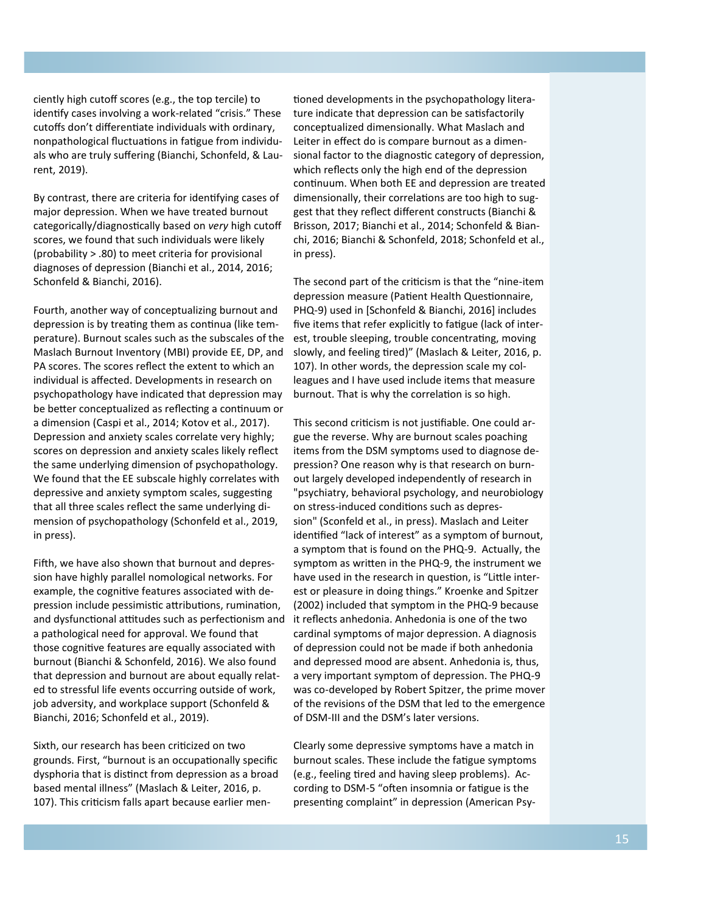ciently high cutoff scores (e.g., the top tercile) to identify cases involving a work-related "crisis." These cutoffs don't differentiate individuals with ordinary, nonpathological fluctuations in fatigue from individuals who are truly suffering (Bianchi, Schonfeld, & Laurent, 2019).

By contrast, there are criteria for identifying cases of major depression. When we have treated burnout categorically/diagnostically based on *very* high cutoff scores, we found that such individuals were likely (probability > .80) to meet criteria for provisional diagnoses of depression (Bianchi et al., 2014, 2016; Schonfeld & Bianchi, 2016).

Fourth, another way of conceptualizing burnout and depression is by treating them as continua (like temperature). Burnout scales such as the subscales of the Maslach Burnout Inventory (MBI) provide EE, DP, and PA scores. The scores reflect the extent to which an individual is affected. Developments in research on psychopathology have indicated that depression may be better conceptualized as reflecting a continuum or a dimension (Caspi et al., 2014; Kotov et al., 2017). Depression and anxiety scales correlate very highly; scores on depression and anxiety scales likely reflect the same underlying dimension of psychopathology. We found that the EE subscale highly correlates with depressive and anxiety symptom scales, suggesting that all three scales reflect the same underlying dimension of psychopathology (Schonfeld et al., 2019, in press).

Fifth, we have also shown that burnout and depression have highly parallel nomological networks. For example, the cognitive features associated with depression include pessimistic attributions, rumination, and dysfunctional attitudes such as perfectionism and a pathological need for approval. We found that those cognitive features are equally associated with burnout (Bianchi & Schonfeld, 2016). We also found that depression and burnout are about equally related to stressful life events occurring outside of work, job adversity, and workplace support (Schonfeld & Bianchi, 2016; Schonfeld et al., 2019).

Sixth, our research has been criticized on two grounds. First, "burnout is an occupationally specific dysphoria that is distinct from depression as a broad based mental illness" (Maslach & Leiter, 2016, p. 107). This criticism falls apart because earlier men-

tioned developments in the psychopathology literature indicate that depression can be satisfactorily conceptualized dimensionally. What Maslach and Leiter in effect do is compare burnout as a dimensional factor to the diagnostic category of depression, which reflects only the high end of the depression continuum. When both EE and depression are treated dimensionally, their correlations are too high to suggest that they reflect different constructs (Bianchi & Brisson, 2017; Bianchi et al., 2014; Schonfeld & Bianchi, 2016; Bianchi & Schonfeld, 2018; Schonfeld et al., in press).

The second part of the criticism is that the "nine-item depression measure (Patient Health Questionnaire, PHQ-9) used in [Schonfeld & Bianchi, 2016] includes five items that refer explicitly to fatigue (lack of interest, trouble sleeping, trouble concentrating, moving slowly, and feeling tired)" (Maslach & Leiter, 2016, p. 107). In other words, the depression scale my colleagues and I have used include items that measure burnout. That is why the correlation is so high.

This second criticism is not justifiable. One could argue the reverse. Why are burnout scales poaching items from the DSM symptoms used to diagnose depression? One reason why is that research on burnout largely developed independently of research in "psychiatry, behavioral psychology, and neurobiology on stress-induced conditions such as depression" (Sconfeld et al., in press). Maslach and Leiter identified "lack of interest" as a symptom of burnout, a symptom that is found on the PHQ-9. Actually, the symptom as written in the PHQ-9, the instrument we have used in the research in question, is "Little interest or pleasure in doing things." Kroenke and Spitzer (2002) included that symptom in the PHQ-9 because it reflects anhedonia. Anhedonia is one of the two cardinal symptoms of major depression. A diagnosis of depression could not be made if both anhedonia and depressed mood are absent. Anhedonia is, thus, a very important symptom of depression. The PHQ-9 was co-developed by Robert Spitzer, the prime mover of the revisions of the DSM that led to the emergence of DSM-III and the DSM's later versions.

Clearly some depressive symptoms have a match in burnout scales. These include the fatigue symptoms (e.g., feeling tired and having sleep problems). According to DSM-5 "often insomnia or fatigue is the presenting complaint" in depression (American Psy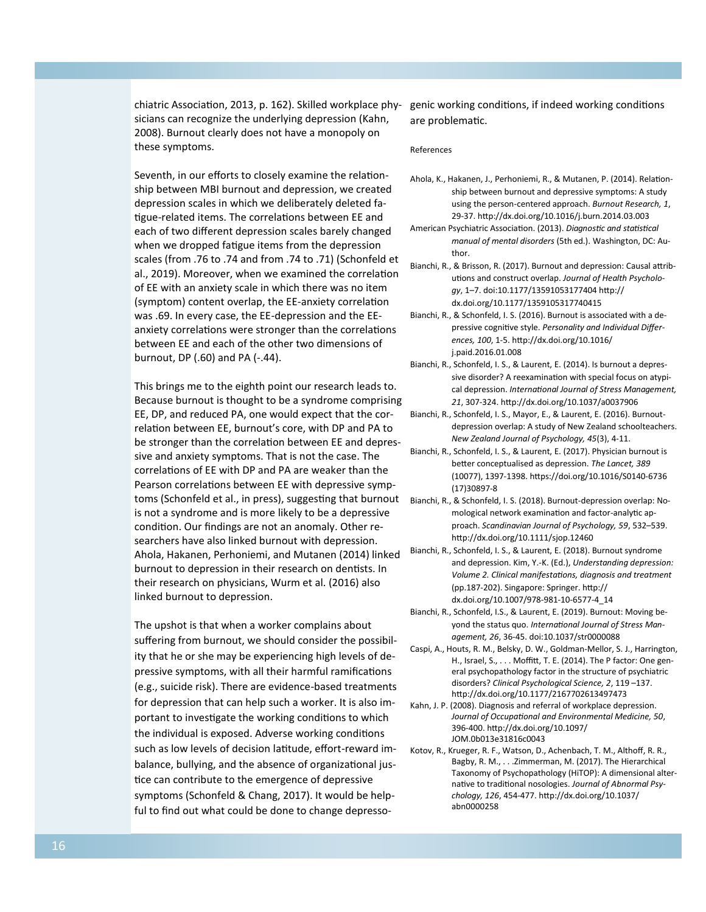chiatric Association, 2013, p. 162). Skilled workplace physicians can recognize the underlying depression (Kahn, 2008). Burnout clearly does not have a monopoly on these symptoms.

Seventh, in our efforts to closely examine the relationship between MBI burnout and depression, we created depression scales in which we deliberately deleted fatigue-related items. The correlations between EE and each of two different depression scales barely changed when we dropped fatigue items from the depression scales (from .76 to .74 and from .74 to .71) (Schonfeld et al., 2019). Moreover, when we examined the correlation of EE with an anxiety scale in which there was no item (symptom) content overlap, the EE-anxiety correlation was .69. In every case, the EE-depression and the EEanxiety correlations were stronger than the correlations between EE and each of the other two dimensions of burnout, DP (.60) and PA (-.44).

This brings me to the eighth point our research leads to. Because burnout is thought to be a syndrome comprising EE, DP, and reduced PA, one would expect that the correlation between EE, burnout's core, with DP and PA to be stronger than the correlation between EE and depressive and anxiety symptoms. That is not the case. The correlations of EE with DP and PA are weaker than the Pearson correlations between EE with depressive symptoms (Schonfeld et al., in press), suggesting that burnout is not a syndrome and is more likely to be a depressive condition. Our findings are not an anomaly. Other researchers have also linked burnout with depression. Ahola, Hakanen, Perhoniemi, and Mutanen (2014) linked burnout to depression in their research on dentists. In their research on physicians, Wurm et al. (2016) also linked burnout to depression.

The upshot is that when a worker complains about suffering from burnout, we should consider the possibility that he or she may be experiencing high levels of depressive symptoms, with all their harmful ramifications (e.g., suicide risk). There are evidence-based treatments for depression that can help such a worker. It is also important to investigate the working conditions to which the individual is exposed. Adverse working conditions such as low levels of decision latitude, effort-reward imbalance, bullying, and the absence of organizational justice can contribute to the emergence of depressive symptoms (Schonfeld & Chang, 2017). It would be helpful to find out what could be done to change depressogenic working conditions, if indeed working conditions are problematic.

## References

- Ahola, K., Hakanen, J., Perhoniemi, R., & Mutanen, P. (2014). Relationship between burnout and depressive symptoms: A study using the person-centered approach. *Burnout Research, 1*, 29-37. http://dx.doi.org/10.1016/j.burn.2014.03.003
- American Psychiatric Association. (2013). *Diagnostic and statistical manual of mental disorders* (5th ed.). Washington, DC: Author.
- Bianchi, R., & Brisson, R. (2017). Burnout and depression: Causal attributions and construct overlap. *Journal of Health Psychology*, 1–7. doi:10.1177/13591053177404 http:// dx.doi.org/10.1177/1359105317740415
- Bianchi, R., & Schonfeld, I. S. (2016). Burnout is associated with a depressive cognitive style. *Personality and Individual Differences, 100*, 1-5. http://dx.doi.org/10.1016/ j.paid.2016.01.008
- Bianchi, R., Schonfeld, I. S., & Laurent, E. (2014). Is burnout a depressive disorder? A reexamination with special focus on atypical depression. *International Journal of Stress Management, 21*, 307-324. http://dx.doi.org/10.1037/a0037906
- Bianchi, R., Schonfeld, I. S., Mayor, E., & Laurent, E. (2016). Burnoutdepression overlap: A study of New Zealand schoolteachers. *New Zealand Journal of Psychology, 45*(3), 4-11.
- Bianchi, R., Schonfeld, I. S., & Laurent, E. (2017). Physician burnout is better conceptualised as depression. *The Lancet, 389* (10077), 1397-1398. https://doi.org/10.1016/S0140-6736 (17)30897-8
- Bianchi, R., & Schonfeld, I. S. (2018). Burnout-depression overlap: Nomological network examination and factor-analytic approach. *Scandinavian Journal of Psychology, 59*, 532–539. http://dx.doi.org/10.1111/sjop.12460
- Bianchi, R., Schonfeld, I. S., & Laurent, E. (2018). Burnout syndrome and depression. Kim, Y.-K. (Ed.), *Understanding depression: Volume 2. Clinical manifestations, diagnosis and treatment* (pp.187-202). Singapore: Springer. http:// dx.doi.org/10.1007/978-981-10-6577-4\_14
- Bianchi, R., Schonfeld, I.S., & Laurent, E. (2019). Burnout: Moving beyond the status quo. *International Journal of Stress Management, 26*, 36-45. doi:10.1037/str0000088
- Caspi, A., Houts, R. M., Belsky, D. W., Goldman-Mellor, S. J., Harrington, H., Israel, S., . . . Moffitt, T. E. (2014). The P factor: One general psychopathology factor in the structure of psychiatric disorders? *Clinical Psychological Science, 2*, 119 –137. http://dx.doi.org/10.1177/2167702613497473
- Kahn, J. P. (2008). Diagnosis and referral of workplace depression. *Journal of Occupational and Environmental Medicine, 50*, 396-400. http://dx.doi.org/10.1097/ JOM.0b013e31816c0043
- Kotov, R., Krueger, R. F., Watson, D., Achenbach, T. M., Althoff, R. R., Bagby, R. M., . . .Zimmerman, M. (2017). The Hierarchical Taxonomy of Psychopathology (HiTOP): A dimensional alternative to traditional nosologies. *Journal of Abnormal Psychology, 126*, 454-477. http://dx.doi.org/10.1037/ abn0000258